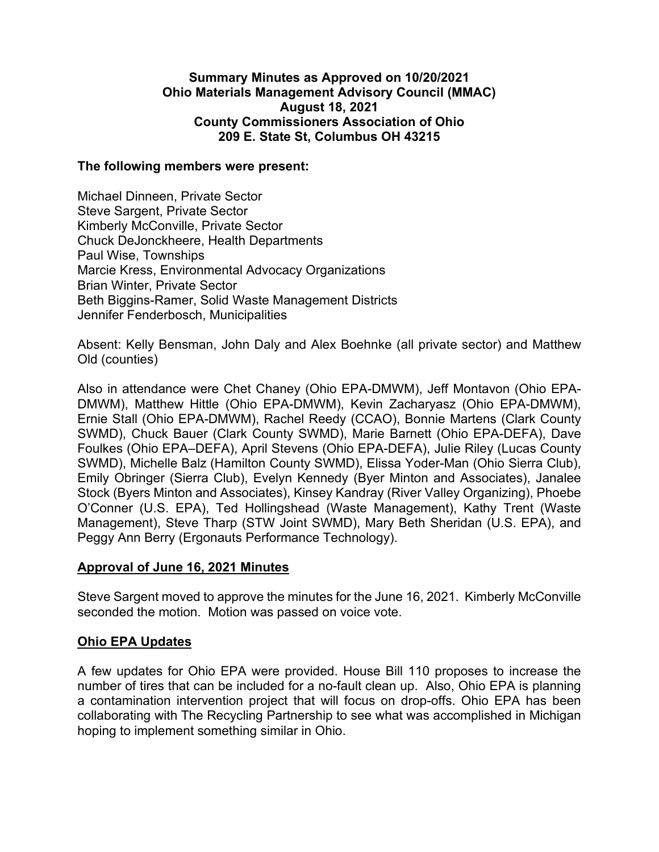## **Summary Minutes as Approved on 10/20/2021 Ohio Materials Management Advisory Council (MMAC) August 18, 2021 County Commissioners Association of Ohio 209 E. State St, Columbus OH 43215**

### **The following members were present:**

Michael Dinneen, Private Sector Steve Sargent, Private Sector Kimberly McConville, Private Sector Chuck DeJonckheere, Health Departments Paul Wise, Townships Marcie Kress, Environmental Advocacy Organizations Brian Winter, Private Sector Beth Biggins-Ramer, Solid Waste Management Districts Jennifer Fenderbosch, Municipalities

Absent: Kelly Bensman, John Daly and Alex Boehnke (all private sector) and Matthew Old (counties)

Also in attendance were Chet Chaney (Ohio EPA-DMWM), Jeff Montavon (Ohio EPA-DMWM), Matthew Hittle (Ohio EPA-DMWM), Kevin Zacharyasz (Ohio EPA-DMWM), Ernie Stall (Ohio EPA-DMWM), Rachel Reedy (CCAO), Bonnie Martens (Clark County SWMD), Chuck Bauer (Clark County SWMD), Marie Barnett (Ohio EPA-DEFA), Dave Foulkes (Ohio EPA–DEFA), April Stevens (Ohio EPA-DEFA), Julie Riley (Lucas County SWMD), Michelle Balz (Hamilton County SWMD), Elissa Yoder-Man (Ohio Sierra Club), Emily Obringer (Sierra Club), Evelyn Kennedy (Byer Minton and Associates), Janalee Stock (Byers Minton and Associates), Kinsey Kandray (River Valley Organizing), Phoebe O'Conner (U.S. EPA), Ted Hollingshead (Waste Management), Kathy Trent (Waste Management), Steve Tharp (STW Joint SWMD), Mary Beth Sheridan (U.S. EPA), and Peggy Ann Berry (Ergonauts Performance Technology).

# **Approval of June 16, 2021 Minutes**

Steve Sargent moved to approve the minutes for the June 16, 2021. Kimberly McConville seconded the motion. Motion was passed on voice vote.

# **Ohio EPA Updates**

A few updates for Ohio EPA were provided. House Bill 110 proposes to increase the number of tires that can be included for a no-fault clean up. Also, Ohio EPA is planning a contamination intervention project that will focus on drop-offs. Ohio EPA has been collaborating with The Recycling Partnership to see what was accomplished in Michigan hoping to implement something similar in Ohio.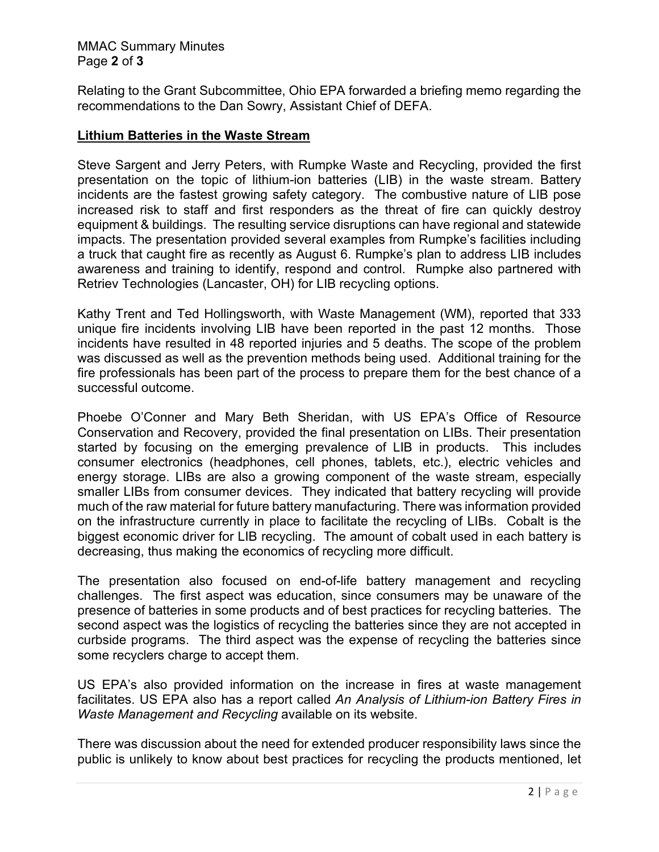### MMAC Summary Minutes Page **2** of **3**

Relating to the Grant Subcommittee, Ohio EPA forwarded a briefing memo regarding the recommendations to the Dan Sowry, Assistant Chief of DEFA.

### **Lithium Batteries in the Waste Stream**

Steve Sargent and Jerry Peters, with Rumpke Waste and Recycling, provided the first presentation on the topic of lithium-ion batteries (LIB) in the waste stream. Battery incidents are the fastest growing safety category. The combustive nature of LIB pose increased risk to staff and first responders as the threat of fire can quickly destroy equipment & buildings. The resulting service disruptions can have regional and statewide impacts. The presentation provided several examples from Rumpke's facilities including a truck that caught fire as recently as August 6. Rumpke's plan to address LIB includes awareness and training to identify, respond and control. Rumpke also partnered with Retriev Technologies (Lancaster, OH) for LIB recycling options.

Kathy Trent and Ted Hollingsworth, with Waste Management (WM), reported that 333 unique fire incidents involving LIB have been reported in the past 12 months. Those incidents have resulted in 48 reported injuries and 5 deaths. The scope of the problem was discussed as well as the prevention methods being used. Additional training for the fire professionals has been part of the process to prepare them for the best chance of a successful outcome.

Phoebe O'Conner and Mary Beth Sheridan, with US EPA's Office of Resource Conservation and Recovery, provided the final presentation on LIBs. Their presentation started by focusing on the emerging prevalence of LIB in products. This includes consumer electronics (headphones, cell phones, tablets, etc.), electric vehicles and energy storage. LIBs are also a growing component of the waste stream, especially smaller LIBs from consumer devices. They indicated that battery recycling will provide much of the raw material for future battery manufacturing. There was information provided on the infrastructure currently in place to facilitate the recycling of LIBs. Cobalt is the biggest economic driver for LIB recycling. The amount of cobalt used in each battery is decreasing, thus making the economics of recycling more difficult.

The presentation also focused on end-of-life battery management and recycling challenges. The first aspect was education, since consumers may be unaware of the presence of batteries in some products and of best practices for recycling batteries. The second aspect was the logistics of recycling the batteries since they are not accepted in curbside programs. The third aspect was the expense of recycling the batteries since some recyclers charge to accept them.

US EPA's also provided information on the increase in fires at waste management facilitates. US EPA also has a report called *An Analysis of Lithium-ion Battery Fires in Waste Management and Recycling* available on its website.

There was discussion about the need for extended producer responsibility laws since the public is unlikely to know about best practices for recycling the products mentioned, let